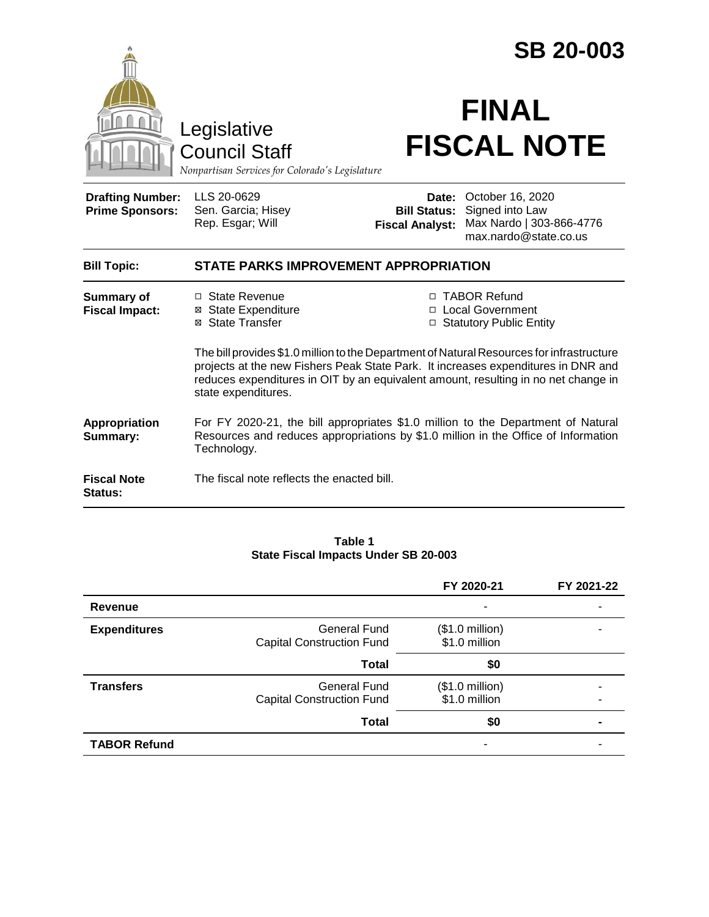|                                                                                        |                                                                                                                                                                                                                                                                                             | <b>SB 20-003</b>                              |                                                                                                       |  |
|----------------------------------------------------------------------------------------|---------------------------------------------------------------------------------------------------------------------------------------------------------------------------------------------------------------------------------------------------------------------------------------------|-----------------------------------------------|-------------------------------------------------------------------------------------------------------|--|
| Legislative<br><b>Council Staff</b><br>Nonpartisan Services for Colorado's Legislature |                                                                                                                                                                                                                                                                                             | <b>FINAL</b><br><b>FISCAL NOTE</b>            |                                                                                                       |  |
| <b>Drafting Number:</b><br><b>Prime Sponsors:</b>                                      | LLS 20-0629<br>Sen. Garcia; Hisey<br>Rep. Esgar; Will                                                                                                                                                                                                                                       | <b>Bill Status:</b><br><b>Fiscal Analyst:</b> | <b>Date: October 16, 2020</b><br>Signed into Law<br>Max Nardo   303-866-4776<br>max.nardo@state.co.us |  |
| <b>Bill Topic:</b>                                                                     | <b>STATE PARKS IMPROVEMENT APPROPRIATION</b>                                                                                                                                                                                                                                                |                                               |                                                                                                       |  |
| <b>Summary of</b><br><b>Fiscal Impact:</b>                                             | □ State Revenue<br>⊠ State Expenditure<br>⊠ State Transfer                                                                                                                                                                                                                                  |                                               | □ TABOR Refund<br><b>Local Government</b><br>□ Statutory Public Entity                                |  |
|                                                                                        | The bill provides \$1.0 million to the Department of Natural Resources for infrastructure<br>projects at the new Fishers Peak State Park. It increases expenditures in DNR and<br>reduces expenditures in OIT by an equivalent amount, resulting in no net change in<br>state expenditures. |                                               |                                                                                                       |  |
| <b>Appropriation</b><br>Summary:                                                       | For FY 2020-21, the bill appropriates \$1.0 million to the Department of Natural<br>Resources and reduces appropriations by \$1.0 million in the Office of Information<br>Technology.                                                                                                       |                                               |                                                                                                       |  |
| <b>Fiscal Note</b><br><b>Status:</b>                                                   | The fiscal note reflects the enacted bill.                                                                                                                                                                                                                                                  |                                               |                                                                                                       |  |

#### **Table 1 State Fiscal Impacts Under SB 20-003**

|                     |                                                  | FY 2020-21                                | FY 2021-22 |
|---------------------|--------------------------------------------------|-------------------------------------------|------------|
| Revenue             |                                                  | ۰                                         |            |
| <b>Expenditures</b> | General Fund<br><b>Capital Construction Fund</b> | $($1.0 \text{ million})$<br>\$1.0 million |            |
|                     | <b>Total</b>                                     | \$0                                       |            |
| <b>Transfers</b>    | General Fund<br><b>Capital Construction Fund</b> | $($1.0 \text{ million})$<br>\$1.0 million |            |
|                     | <b>Total</b>                                     | \$0                                       |            |
| <b>TABOR Refund</b> |                                                  | ۰                                         |            |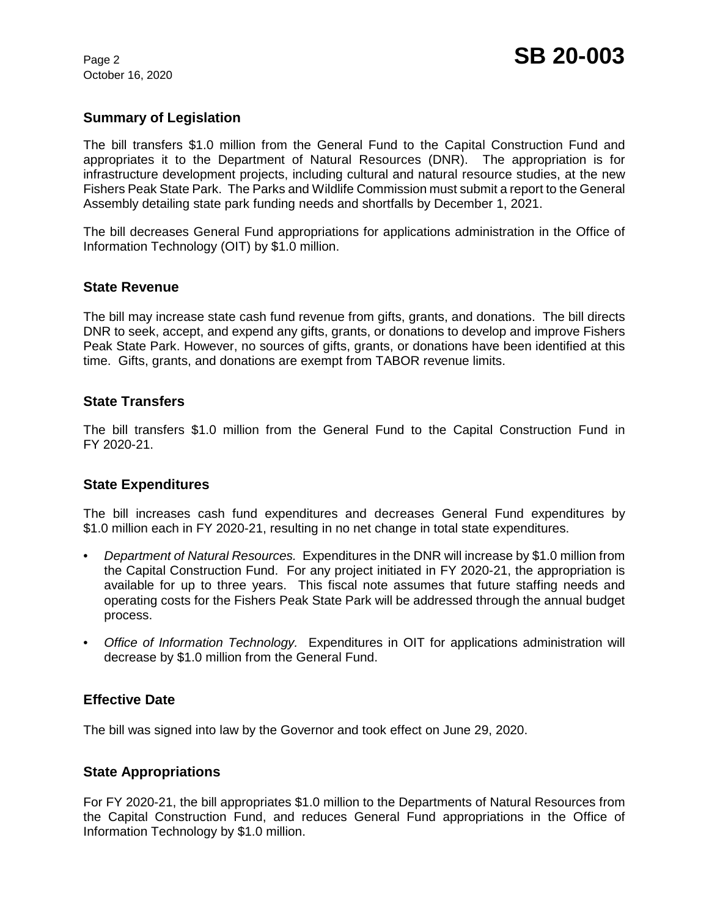October 16, 2020

# **Summary of Legislation**

The bill transfers \$1.0 million from the General Fund to the Capital Construction Fund and appropriates it to the Department of Natural Resources (DNR). The appropriation is for infrastructure development projects, including cultural and natural resource studies, at the new Fishers Peak State Park. The Parks and Wildlife Commission must submit a report to the General Assembly detailing state park funding needs and shortfalls by December 1, 2021.

The bill decreases General Fund appropriations for applications administration in the Office of Information Technology (OIT) by \$1.0 million.

#### **State Revenue**

The bill may increase state cash fund revenue from gifts, grants, and donations. The bill directs DNR to seek, accept, and expend any gifts, grants, or donations to develop and improve Fishers Peak State Park. However, no sources of gifts, grants, or donations have been identified at this time. Gifts, grants, and donations are exempt from TABOR revenue limits.

#### **State Transfers**

The bill transfers \$1.0 million from the General Fund to the Capital Construction Fund in FY 2020-21.

## **State Expenditures**

The bill increases cash fund expenditures and decreases General Fund expenditures by \$1.0 million each in FY 2020-21, resulting in no net change in total state expenditures.

- *Department of Natural Resources.* Expenditures in the DNR will increase by \$1.0 million from the Capital Construction Fund. For any project initiated in FY 2020-21, the appropriation is available for up to three years. This fiscal note assumes that future staffing needs and operating costs for the Fishers Peak State Park will be addressed through the annual budget process.
- *Office of Information Technology.* Expenditures in OIT for applications administration will decrease by \$1.0 million from the General Fund.

## **Effective Date**

The bill was signed into law by the Governor and took effect on June 29, 2020.

#### **State Appropriations**

For FY 2020-21, the bill appropriates \$1.0 million to the Departments of Natural Resources from the Capital Construction Fund, and reduces General Fund appropriations in the Office of Information Technology by \$1.0 million.